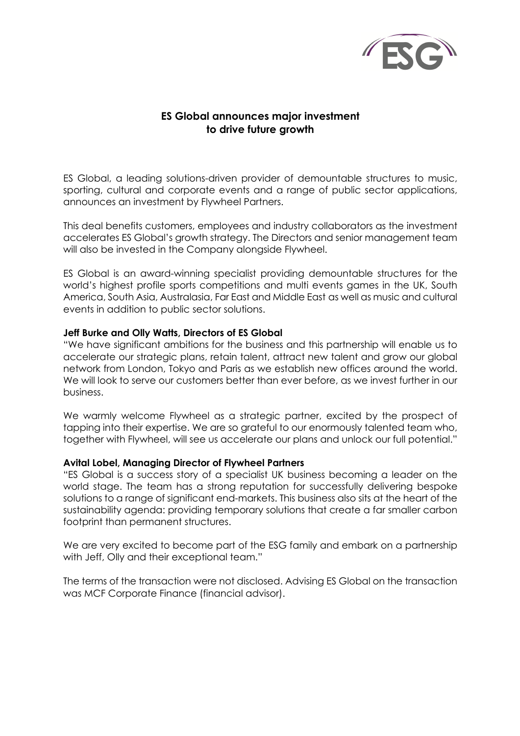

# **ES Global announces major investment to drive future growth**

ES Global, a leading solutions-driven provider of demountable structures to music, sporting, cultural and corporate events and a range of public sector applications, announces an investment by Flywheel Partners.

This deal benefits customers, employees and industry collaborators as the investment accelerates ES Global's growth strategy. The Directors and senior management team will also be invested in the Company alongside Flywheel.

ES Global is an award-winning specialist providing demountable structures for the world's highest profile sports competitions and multi events games in the UK, South America, South Asia, Australasia, Far East and Middle East as well as music and cultural events in addition to public sector solutions.

## **Jeff Burke and Olly Watts, Directors of ES Global**

"We have significant ambitions for the business and this partnership will enable us to accelerate our strategic plans, retain talent, attract new talent and grow our global network from London, Tokyo and Paris as we establish new offices around the world. We will look to serve our customers better than ever before, as we invest further in our business.

We warmly welcome Flywheel as a strategic partner, excited by the prospect of tapping into their expertise. We are so grateful to our enormously talented team who, together with Flywheel, will see us accelerate our plans and unlock our full potential."

## **Avital Lobel, Managing Director of Flywheel Partners**

"ES Global is a success story of a specialist UK business becoming a leader on the world stage. The team has a strong reputation for successfully delivering bespoke solutions to a range of significant end-markets. This business also sits at the heart of the sustainability agenda: providing temporary solutions that create a far smaller carbon footprint than permanent structures.

We are very excited to become part of the ESG family and embark on a partnership with Jeff, Olly and their exceptional team."

The terms of the transaction were not disclosed. Advising ES Global on the transaction was MCF Corporate Finance (financial advisor).